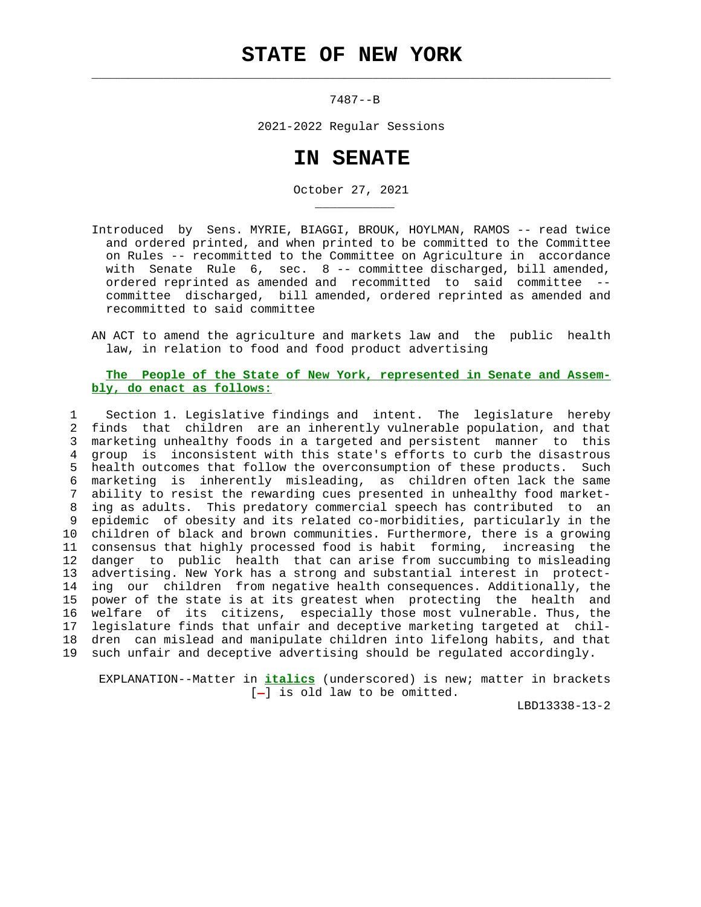$\mathcal{L}_\text{max} = \frac{1}{2} \sum_{i=1}^{n} \frac{1}{2} \sum_{i=1}^{n} \frac{1}{2} \sum_{i=1}^{n} \frac{1}{2} \sum_{i=1}^{n} \frac{1}{2} \sum_{i=1}^{n} \frac{1}{2} \sum_{i=1}^{n} \frac{1}{2} \sum_{i=1}^{n} \frac{1}{2} \sum_{i=1}^{n} \frac{1}{2} \sum_{i=1}^{n} \frac{1}{2} \sum_{i=1}^{n} \frac{1}{2} \sum_{i=1}^{n} \frac{1}{2} \sum_{i=1}^{n} \frac{1$ 

\_\_\_\_\_\_\_\_\_\_\_

7487--B

2021-2022 Regular Sessions

## **IN SENATE**

October 27, 2021

- Introduced by Sens. MYRIE, BIAGGI, BROUK, HOYLMAN, RAMOS -- read twice and ordered printed, and when printed to be committed to the Committee on Rules -- recommitted to the Committee on Agriculture in accordance with Senate Rule 6, sec. 8 -- committee discharged, bill amended, ordered reprinted as amended and recommitted to said committee - committee discharged, bill amended, ordered reprinted as amended and recommitted to said committee
- AN ACT to amend the agriculture and markets law and the public health law, in relation to food and food product advertising

## **The People of the State of New York, represented in Senate and Assem bly, do enact as follows:**

 1 Section 1. Legislative findings and intent. The legislature hereby 2 finds that children are an inherently vulnerable population, and that 3 marketing unhealthy foods in a targeted and persistent manner to this 4 group is inconsistent with this state's efforts to curb the disastrous 5 health outcomes that follow the overconsumption of these products. Such 6 marketing is inherently misleading, as children often lack the same 7 ability to resist the rewarding cues presented in unhealthy food market- 8 ing as adults. This predatory commercial speech has contributed to an 9 epidemic of obesity and its related co-morbidities, particularly in the 10 children of black and brown communities. Furthermore, there is a growing 11 consensus that highly processed food is habit forming, increasing the 12 danger to public health that can arise from succumbing to misleading 13 advertising. New York has a strong and substantial interest in protect- 14 ing our children from negative health consequences. Additionally, the 15 power of the state is at its greatest when protecting the health and 16 welfare of its citizens, especially those most vulnerable. Thus, the 17 legislature finds that unfair and deceptive marketing targeted at chil- 18 dren can mislead and manipulate children into lifelong habits, and that 19 such unfair and deceptive advertising should be regulated accordingly.

 EXPLANATION--Matter in **italics** (underscored) is new; matter in brackets  $[-]$  is old law to be omitted.

LBD13338-13-2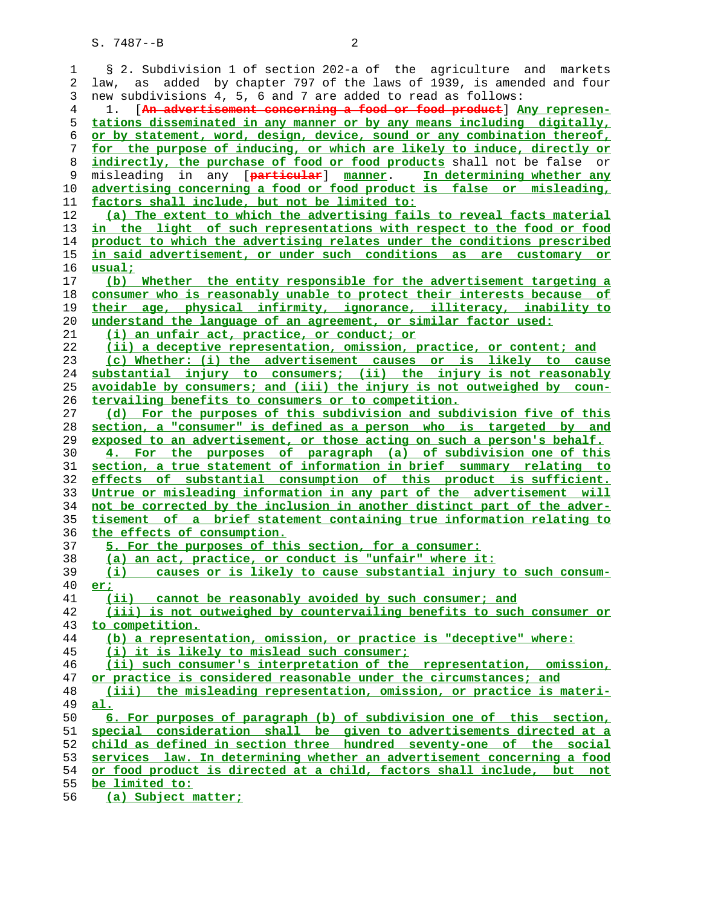1 § 2. Subdivision 1 of section 202-a of the agriculture and markets 2 law, as added by chapter 797 of the laws of 1939, is amended and four 3 new subdivisions 4, 5, 6 and 7 are added to read as follows: 4 1. [**An advertisement concerning a food or food product**] **Any represen- tations disseminated in any manner or by any means including digitally, or by statement, word, design, device, sound or any combination thereof, for the purpose of inducing, or which are likely to induce, directly or indirectly, the purchase of food or food products** shall not be false or 9 misleading in any [**particular**] **manner**. **In determining whether any advertising concerning a food or food product is false or misleading, factors shall include, but not be limited to: (a) The extent to which the advertising fails to reveal facts material in the light of such representations with respect to the food or food product to which the advertising relates under the conditions prescribed in said advertisement, or under such conditions as are customary or usual; (b) Whether the entity responsible for the advertisement targeting a consumer who is reasonably unable to protect their interests because of their age, physical infirmity, ignorance, illiteracy, inability to understand the language of an agreement, or similar factor used: (i) an unfair act, practice, or conduct; or (ii) a deceptive representation, omission, practice, or content; and (c) Whether: (i) the advertisement causes or is likely to cause substantial injury to consumers; (ii) the injury is not reasonably avoidable by consumers; and (iii) the injury is not outweighed by coun- tervailing benefits to consumers or to competition. (d) For the purposes of this subdivision and subdivision five of this section, a "consumer" is defined as a person who is targeted by and exposed to an advertisement, or those acting on such a person's behalf. 4. For the purposes of paragraph (a) of subdivision one of this section, a true statement of information in brief summary relating to effects of substantial consumption of this product is sufficient. Untrue or misleading information in any part of the advertisement will not be corrected by the inclusion in another distinct part of the adver- tisement of a brief statement containing true information relating to the effects of consumption. 5. For the purposes of this section, for a consumer: (a) an act, practice, or conduct is "unfair" where it: (i) causes or is likely to cause substantial injury to such consum- er; (ii) cannot be reasonably avoided by such consumer; and (iii) is not outweighed by countervailing benefits to such consumer or to competition. (b) a representation, omission, or practice is "deceptive" where: (i) it is likely to mislead such consumer; (ii) such consumer's interpretation of the representation, omission, or practice is considered reasonable under the circumstances; and (iii) the misleading representation, omission, or practice is materi- al. 6. For purposes of paragraph (b) of subdivision one of this section, special consideration shall be given to advertisements directed at a child as defined in section three hundred seventy-one of the social services law. In determining whether an advertisement concerning a food or food product is directed at a child, factors shall include, but not be limited to: (a) Subject matter;**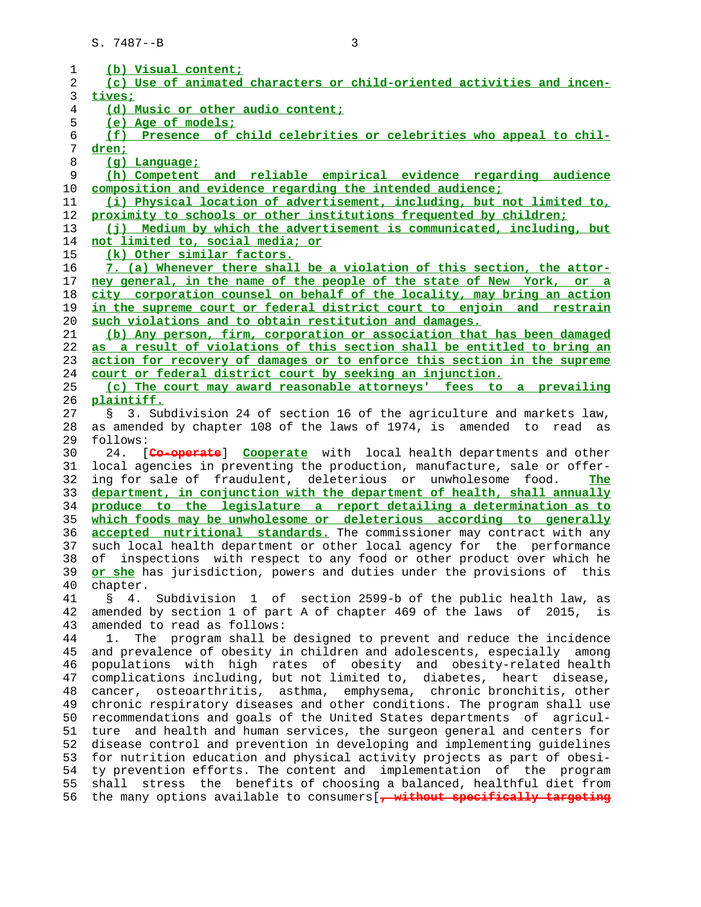| 1              | (b) Visual content;                                                                                                                                   |
|----------------|-------------------------------------------------------------------------------------------------------------------------------------------------------|
| 2              | (c) Use of animated characters or child-oriented activities and incen-                                                                                |
| 3              | tives;                                                                                                                                                |
| $\overline{4}$ | (d) Music or other audio content;                                                                                                                     |
|                | (e) Age of models;                                                                                                                                    |
| 5              |                                                                                                                                                       |
| 6              | (f) Presence of child celebrities or celebrities who appeal to chil-                                                                                  |
| 7              | dren:                                                                                                                                                 |
| 8              | (g) Language;                                                                                                                                         |
| 9              | (h) Competent and reliable empirical evidence regarding audience                                                                                      |
| 10             | composition and evidence regarding the intended audience;                                                                                             |
| 11             | (i) Physical location of advertisement, including, but not limited to,                                                                                |
| 12             | proximity to schools or other institutions frequented by children;                                                                                    |
| 13             | (j) Medium by which the advertisement is communicated, including, but                                                                                 |
| 14             | not limited to, social media; or                                                                                                                      |
| 15             | (k) Other similar factors.                                                                                                                            |
| 16             | 7. (a) Whenever there shall be a violation of this section, the attor-                                                                                |
| 17             | ney general, in the name of the people of the state of New York, or a                                                                                 |
| 18             | city corporation counsel on behalf of the locality, may bring an action                                                                               |
| 19             | in the supreme court or federal district court to enjoin and restrain                                                                                 |
| 20             | such violations and to obtain restitution and damages.                                                                                                |
| 21             | (b) Any person, firm, corporation or association that has been damaged                                                                                |
| 22             | as a result of violations of this section shall be entitled to bring an                                                                               |
|                |                                                                                                                                                       |
| 23             | action for recovery of damages or to enforce this section in the supreme                                                                              |
| 24             | court or federal district court by seeking an injunction.                                                                                             |
| 25             | (c) The court may award reasonable attorneys' fees to a prevailing                                                                                    |
| 26             | plaintiff.                                                                                                                                            |
| 27             | 3. Subdivision 24 of section 16 of the agriculture and markets law,<br>$\mathcal{S}$                                                                  |
| 28             | as amended by chapter 108 of the laws of 1974, is amended to<br>read as                                                                               |
| 29             | follows:                                                                                                                                              |
| 30             | 24. [Co-operate] Cooperate with local health departments and other                                                                                    |
| 31             | local agencies in preventing the production, manufacture, sale or offer-                                                                              |
| 32             | ing for sale of fraudulent, deleterious or unwholesome food.<br>The                                                                                   |
| 33             | department, in conjunction with the department of health, shall annually                                                                              |
| 34             | produce to the legislature a report detailing a determination as to                                                                                   |
| 35             | which foods may be unwholesome or deleterious according to generally                                                                                  |
| 36             | accepted nutritional standards. The commissioner may contract with any                                                                                |
| 37             |                                                                                                                                                       |
|                |                                                                                                                                                       |
|                | such local health department or other local agency for the performance                                                                                |
| 38             | inspections with respect to any food or other product over which he<br>οf                                                                             |
| 39             | or she has jurisdiction, powers and duties under the provisions of this                                                                               |
| 40             | chapter.                                                                                                                                              |
| 41             | 4. Subdivision 1 of section 2599-b of the public health law, as<br>$\mathcal{S}$                                                                      |
| 42             | amended by section 1 of part A of chapter 469 of the laws of 2015, is                                                                                 |
| 43             | amended to read as follows:                                                                                                                           |
| 44             | The program shall be designed to prevent and reduce the incidence<br>1.                                                                               |
| 45             | and prevalence of obesity in children and adolescents, especially among                                                                               |
| 46             | populations with high rates of obesity and obesity-related health                                                                                     |
| 47             | complications including, but not limited to, diabetes, heart disease,                                                                                 |
| 48             | cancer, osteoarthritis, asthma, emphysema, chronic bronchitis, other                                                                                  |
| 49             | chronic respiratory diseases and other conditions. The program shall use                                                                              |
| 50             | recommendations and goals of the United States departments of agricul-                                                                                |
|                |                                                                                                                                                       |
| 51             | ture and health and human services, the surgeon general and centers for                                                                               |
| 52             | disease control and prevention in developing and implementing guidelines                                                                              |
| 53             | for nutrition education and physical activity projects as part of obesi-                                                                              |
| 54             | ty prevention efforts. The content and implementation of the program                                                                                  |
| 55<br>56       | stress the benefits of choosing a balanced, healthful diet from<br>shall<br>the many options available to consumers [, without specifically targeting |